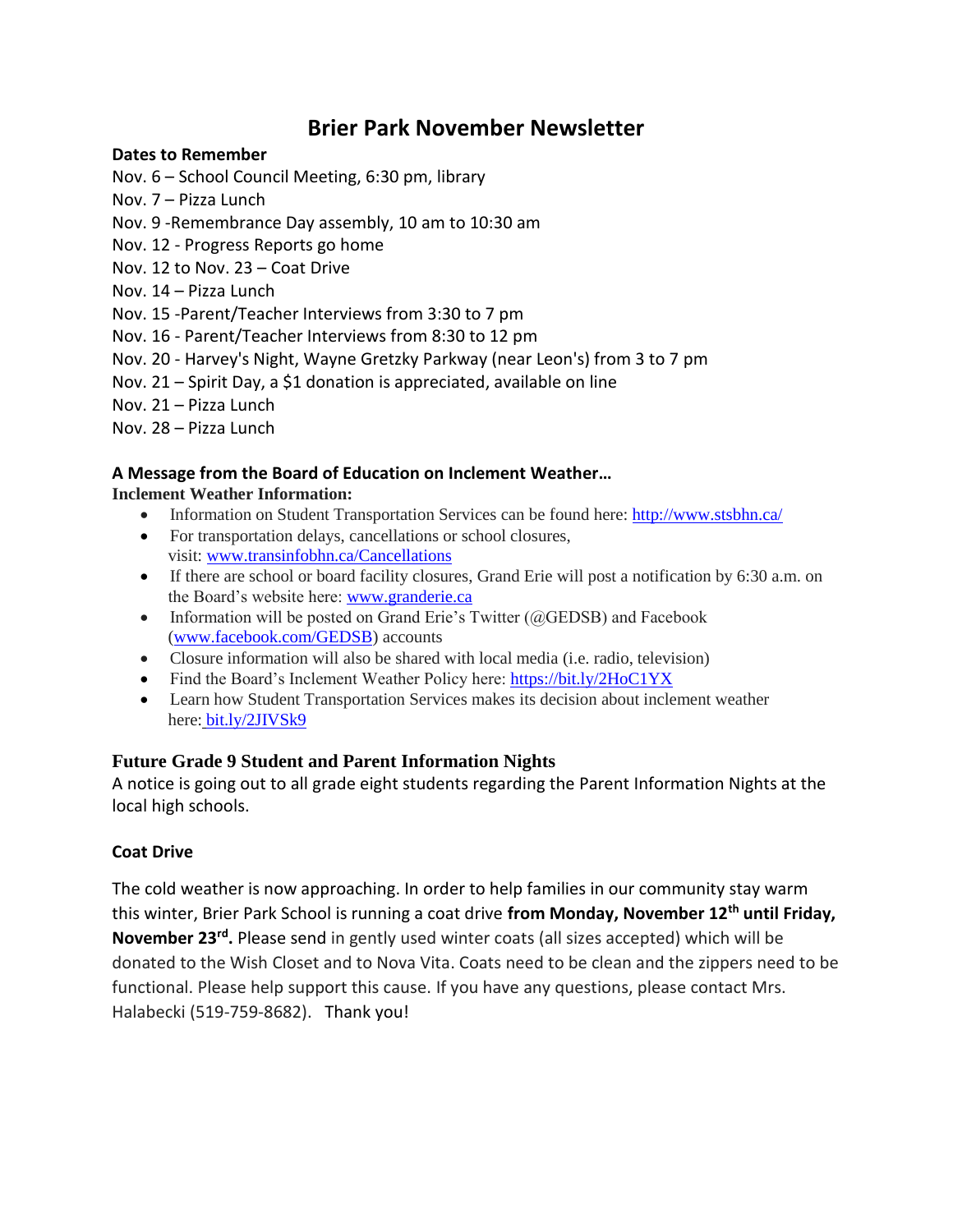# **Brier Park November Newsletter**

### **Dates to Remember**

- Nov. 6 School Council Meeting, 6:30 pm, library
- Nov. 7 Pizza Lunch
- Nov. 9 -Remembrance Day assembly, 10 am to 10:30 am
- Nov. 12 Progress Reports go home
- Nov. 12 to Nov. 23 Coat Drive
- Nov. 14 Pizza Lunch
- Nov. 15 -Parent/Teacher Interviews from 3:30 to 7 pm
- Nov. 16 Parent/Teacher Interviews from 8:30 to 12 pm
- Nov. 20 Harvey's Night, Wayne Gretzky Parkway (near Leon's) from 3 to 7 pm
- Nov. 21 Spirit Day, a \$1 donation is appreciated, available on line
- Nov. 21 Pizza Lunch
- Nov. 28 Pizza Lunch

## **A Message from the Board of Education on Inclement Weather…**

## **Inclement Weather Information:**

- Information on Student Transportation Services can be found here: <http://www.stsbhn.ca/>
- For transportation delays, cancellations or school closures, visit: [www.transinfobhn.ca/Cancellations](http://www.transinfobhn.ca/Cancellations)
- If there are school or board facility closures, Grand Erie will post a notification by 6:30 a.m. on the Board's website here: [www.granderie.ca](https://l.facebook.com/l.php?u=http%3A%2F%2Fwww.granderie.ca%2F&h=ATOmWjpQU6gZOZAcsiQgm95zu8OXD5tY9RiY2ujD8QlSO_lv83WAo7bF_CxlqBWtkuHMrkyCJZRAsWKqess8U5iiWIxwxYqNu0Lw5ftCxXPHj4SC0dFFtqTR6o9T6bNqHVnDd6d0krUsJg6hoFUcvVlPM3hn0gElJSI)
- Information will be posted on Grand Erie's Twitter  $(QGEDSB)$  and Facebook [\(www.facebook.com/GEDSB\)](http://www.facebook.com/GEDSB) accounts
- Closure information will also be shared with local media (i.e. radio, television)
- Find the Board's Inclement Weather Policy here: <https://bit.ly/2HoC1YX>
- Learn how Student Transportation Services makes its decision about inclement weather here: [bit.ly/2JIVSk9](https://bit.ly/2JIVSk9)

# **Future Grade 9 Student and Parent Information Nights**

A notice is going out to all grade eight students regarding the Parent Information Nights at the local high schools.

# **Coat Drive**

The cold weather is now approaching. In order to help families in our community stay warm this winter, Brier Park School is running a coat drive **from Monday, November 12th until Friday, November 23rd .** Please send in gently used winter coats (all sizes accepted) which will be donated to the Wish Closet and to Nova Vita. Coats need to be clean and the zippers need to be functional. Please help support this cause. If you have any questions, please contact Mrs. Halabecki (519-759-8682). Thank you!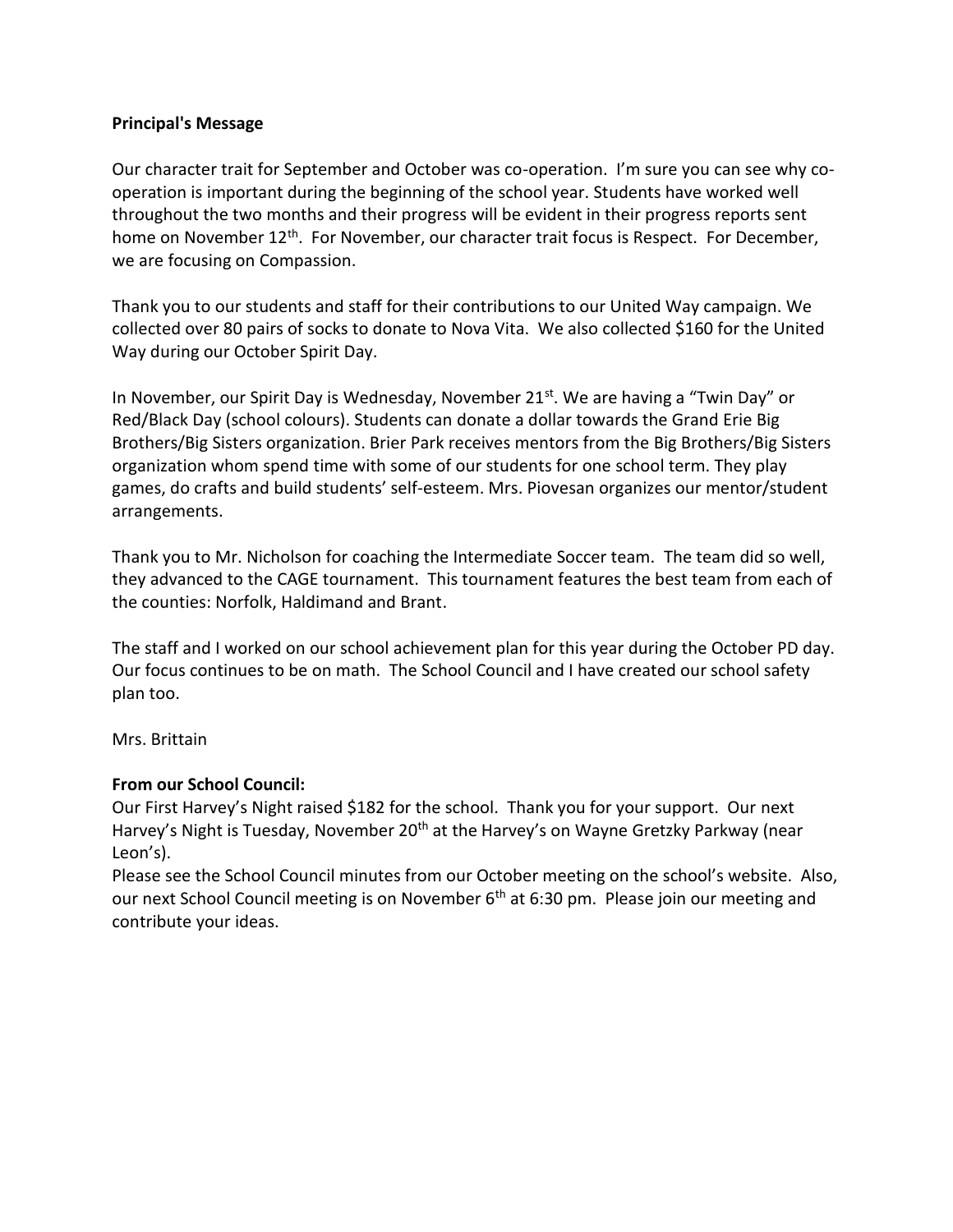#### **Principal's Message**

Our character trait for September and October was co-operation. I'm sure you can see why cooperation is important during the beginning of the school year. Students have worked well throughout the two months and their progress will be evident in their progress reports sent home on November 12<sup>th</sup>. For November, our character trait focus is Respect. For December, we are focusing on Compassion.

Thank you to our students and staff for their contributions to our United Way campaign. We collected over 80 pairs of socks to donate to Nova Vita. We also collected \$160 for the United Way during our October Spirit Day.

In November, our Spirit Day is Wednesday, November  $21<sup>st</sup>$ . We are having a "Twin Day" or Red/Black Day (school colours). Students can donate a dollar towards the Grand Erie Big Brothers/Big Sisters organization. Brier Park receives mentors from the Big Brothers/Big Sisters organization whom spend time with some of our students for one school term. They play games, do crafts and build students' self-esteem. Mrs. Piovesan organizes our mentor/student arrangements.

Thank you to Mr. Nicholson for coaching the Intermediate Soccer team. The team did so well, they advanced to the CAGE tournament. This tournament features the best team from each of the counties: Norfolk, Haldimand and Brant.

The staff and I worked on our school achievement plan for this year during the October PD day. Our focus continues to be on math. The School Council and I have created our school safety plan too.

Mrs. Brittain

### **From our School Council:**

Our First Harvey's Night raised \$182 for the school. Thank you for your support. Our next Harvey's Night is Tuesday, November 20<sup>th</sup> at the Harvey's on Wayne Gretzky Parkway (near Leon's).

Please see the School Council minutes from our October meeting on the school's website. Also, our next School Council meeting is on November  $6<sup>th</sup>$  at 6:30 pm. Please join our meeting and contribute your ideas.